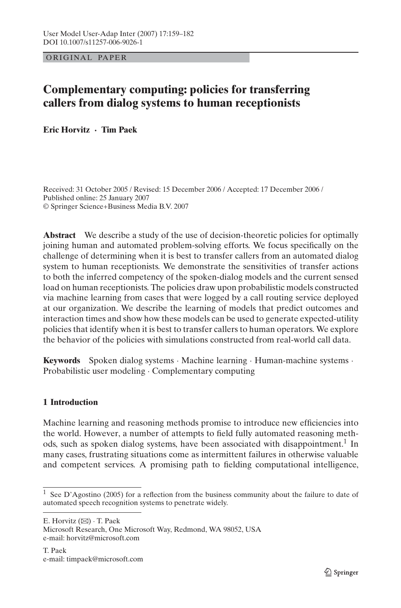ORIGINAL PAPER

# **Complementary computing: policies for transferring callers from dialog systems to human receptionists**

**Eric Horvitz · Tim Paek**

Received: 31 October 2005 / Revised: 15 December 2006 / Accepted: 17 December 2006 / Published online: 25 January 2007 © Springer Science+Business Media B.V. 2007

**Abstract** We describe a study of the use of decision-theoretic policies for optimally joining human and automated problem-solving efforts. We focus specifically on the challenge of determining when it is best to transfer callers from an automated dialog system to human receptionists. We demonstrate the sensitivities of transfer actions to both the inferred competency of the spoken-dialog models and the current sensed load on human receptionists. The policies draw upon probabilistic models constructed via machine learning from cases that were logged by a call routing service deployed at our organization. We describe the learning of models that predict outcomes and interaction times and show how these models can be used to generate expected-utility policies that identify when it is best to transfer callers to human operators. We explore the behavior of the policies with simulations constructed from real-world call data.

**Keywords** Spoken dialog systems · Machine learning · Human-machine systems · Probabilistic user modeling · Complementary computing

# **1 Introduction**

Machine learning and reasoning methods promise to introduce new efficiencies into the world. However, a number of attempts to field fully automated reasoning methods, such as spoken dialog systems, have been associated with disappointment.<sup>1</sup> In many cases, frustrating situations come as intermittent failures in otherwise valuable and competent services. A promising path to fielding computational intelligence,

E. Horvitz ( $\boxtimes$ ) · T. Paek

Microsoft Research, One Microsoft Way, Redmond, WA 98052, USA e-mail: horvitz@microsoft.com

<sup>&</sup>lt;sup>1</sup> See D'Agostino (2005) for a reflection from the business community about the failure to date of automated speech recognition systems to penetrate widely.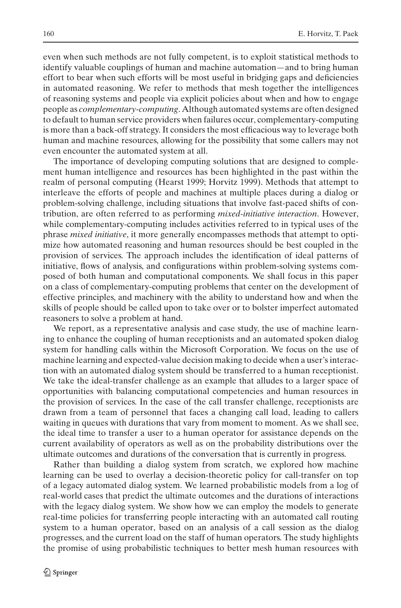even when such methods are not fully competent, is to exploit statistical methods to identify valuable couplings of human and machine automation—and to bring human effort to bear when such efforts will be most useful in bridging gaps and deficiencies in automated reasoning. We refer to methods that mesh together the intelligences of reasoning systems and people via explicit policies about when and how to engage people as *complementary-computing*. Although automated systems are often designed to default to human service providers when failures occur, complementary-computing is more than a back-off strategy. It considers the most efficacious way to leverage both human and machine resources, allowing for the possibility that some callers may not even encounter the automated system at all.

The importance of developing computing solutions that are designed to complement human intelligence and resources has been highlighted in the past within the realm of personal computing (Hearst 1999; Horvitz 1999). Methods that attempt to interleave the efforts of people and machines at multiple places during a dialog or problem-solving challenge, including situations that involve fast-paced shifts of contribution, are often referred to as performing *mixed-initiative interaction*. However, while complementary-computing includes activities referred to in typical uses of the phrase *mixed initiative*, it more generally encompasses methods that attempt to optimize how automated reasoning and human resources should be best coupled in the provision of services. The approach includes the identification of ideal patterns of initiative, flows of analysis, and configurations within problem-solving systems composed of both human and computational components. We shall focus in this paper on a class of complementary-computing problems that center on the development of effective principles, and machinery with the ability to understand how and when the skills of people should be called upon to take over or to bolster imperfect automated reasoners to solve a problem at hand.

We report, as a representative analysis and case study, the use of machine learning to enhance the coupling of human receptionists and an automated spoken dialog system for handling calls within the Microsoft Corporation. We focus on the use of machine learning and expected-value decision making to decide when a user's interaction with an automated dialog system should be transferred to a human receptionist. We take the ideal-transfer challenge as an example that alludes to a larger space of opportunities with balancing computational competencies and human resources in the provision of services. In the case of the call transfer challenge, receptionists are drawn from a team of personnel that faces a changing call load, leading to callers waiting in queues with durations that vary from moment to moment. As we shall see, the ideal time to transfer a user to a human operator for assistance depends on the current availability of operators as well as on the probability distributions over the ultimate outcomes and durations of the conversation that is currently in progress.

Rather than building a dialog system from scratch, we explored how machine learning can be used to overlay a decision-theoretic policy for call-transfer on top of a legacy automated dialog system. We learned probabilistic models from a log of real-world cases that predict the ultimate outcomes and the durations of interactions with the legacy dialog system. We show how we can employ the models to generate real-time policies for transferring people interacting with an automated call routing system to a human operator, based on an analysis of a call session as the dialog progresses, and the current load on the staff of human operators. The study highlights the promise of using probabilistic techniques to better mesh human resources with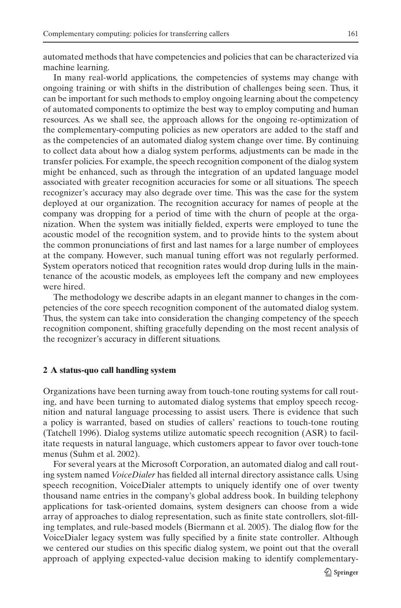automated methods that have competencies and policies that can be characterized via machine learning.

In many real-world applications, the competencies of systems may change with ongoing training or with shifts in the distribution of challenges being seen. Thus, it can be important for such methods to employ ongoing learning about the competency of automated components to optimize the best way to employ computing and human resources. As we shall see, the approach allows for the ongoing re-optimization of the complementary-computing policies as new operators are added to the staff and as the competencies of an automated dialog system change over time. By continuing to collect data about how a dialog system performs, adjustments can be made in the transfer policies. For example, the speech recognition component of the dialog system might be enhanced, such as through the integration of an updated language model associated with greater recognition accuracies for some or all situations. The speech recognizer's accuracy may also degrade over time. This was the case for the system deployed at our organization. The recognition accuracy for names of people at the company was dropping for a period of time with the churn of people at the organization. When the system was initially fielded, experts were employed to tune the acoustic model of the recognition system, and to provide hints to the system about the common pronunciations of first and last names for a large number of employees at the company. However, such manual tuning effort was not regularly performed. System operators noticed that recognition rates would drop during lulls in the maintenance of the acoustic models, as employees left the company and new employees were hired.

The methodology we describe adapts in an elegant manner to changes in the competencies of the core speech recognition component of the automated dialog system. Thus, the system can take into consideration the changing competency of the speech recognition component, shifting gracefully depending on the most recent analysis of the recognizer's accuracy in different situations.

#### **2 A status-quo call handling system**

Organizations have been turning away from touch-tone routing systems for call routing, and have been turning to automated dialog systems that employ speech recognition and natural language processing to assist users. There is evidence that such a policy is warranted, based on studies of callers' reactions to touch-tone routing (Tatchell 1996). Dialog systems utilize automatic speech recognition (ASR) to facilitate requests in natural language, which customers appear to favor over touch-tone menus (Suhm et al. 2002).

For several years at the Microsoft Corporation, an automated dialog and call routing system named *VoiceDialer* has fielded all internal directory assistance calls. Using speech recognition, VoiceDialer attempts to uniquely identify one of over twenty thousand name entries in the company's global address book. In building telephony applications for task-oriented domains, system designers can choose from a wide array of approaches to dialog representation, such as finite state controllers, slot-filling templates, and rule-based models (Biermann et al. 2005). The dialog flow for the VoiceDialer legacy system was fully specified by a finite state controller. Although we centered our studies on this specific dialog system, we point out that the overall approach of applying expected-value decision making to identify complementary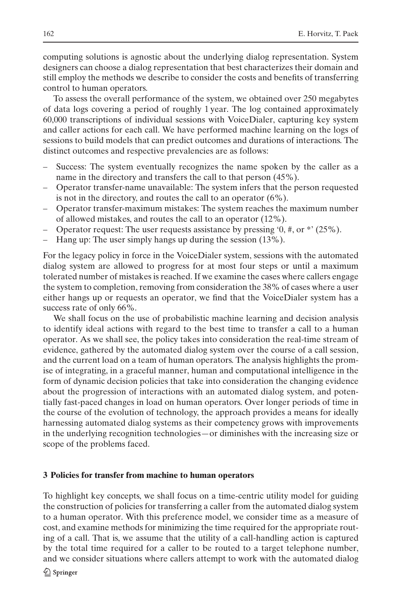computing solutions is agnostic about the underlying dialog representation. System designers can choose a dialog representation that best characterizes their domain and still employ the methods we describe to consider the costs and benefits of transferring control to human operators.

To assess the overall performance of the system, we obtained over 250 megabytes of data logs covering a period of roughly 1 year. The log contained approximately 60,000 transcriptions of individual sessions with VoiceDialer, capturing key system and caller actions for each call. We have performed machine learning on the logs of sessions to build models that can predict outcomes and durations of interactions. The distinct outcomes and respective prevalencies are as follows:

- Success: The system eventually recognizes the name spoken by the caller as a name in the directory and transfers the call to that person (45%).
- Operator transfer-name unavailable: The system infers that the person requested is not in the directory, and routes the call to an operator (6%).
- Operator transfer-maximum mistakes: The system reaches the maximum number of allowed mistakes, and routes the call to an operator (12%).
- Operator request: The user requests assistance by pressing  $(0, \#, \text{ or }^*')$  (25%).
- Hang up: The user simply hangs up during the session (13%).

For the legacy policy in force in the VoiceDialer system, sessions with the automated dialog system are allowed to progress for at most four steps or until a maximum tolerated number of mistakes is reached. If we examine the cases where callers engage the system to completion, removing from consideration the 38% of cases where a user either hangs up or requests an operator, we find that the VoiceDialer system has a success rate of only 66%.

We shall focus on the use of probabilistic machine learning and decision analysis to identify ideal actions with regard to the best time to transfer a call to a human operator. As we shall see, the policy takes into consideration the real-time stream of evidence, gathered by the automated dialog system over the course of a call session, and the current load on a team of human operators. The analysis highlights the promise of integrating, in a graceful manner, human and computational intelligence in the form of dynamic decision policies that take into consideration the changing evidence about the progression of interactions with an automated dialog system, and potentially fast-paced changes in load on human operators. Over longer periods of time in the course of the evolution of technology, the approach provides a means for ideally harnessing automated dialog systems as their competency grows with improvements in the underlying recognition technologies—or diminishes with the increasing size or scope of the problems faced.

## <span id="page-3-0"></span>**3 Policies for transfer from machine to human operators**

To highlight key concepts, we shall focus on a time-centric utility model for guiding the construction of policies for transferring a caller from the automated dialog system to a human operator. With this preference model, we consider time as a measure of cost, and examine methods for minimizing the time required for the appropriate routing of a call. That is, we assume that the utility of a call-handling action is captured by the total time required for a caller to be routed to a target telephone number, and we consider situations where callers attempt to work with the automated dialog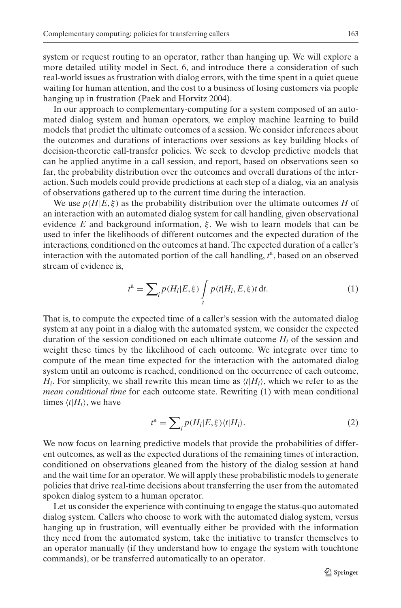system or request routing to an operator, rather than hanging up. We will explore a more detailed utility model in Sect. [6,](#page-14-0) and introduce there a consideration of such real-world issues as frustration with dialog errors, with the time spent in a quiet queue waiting for human attention, and the cost to a business of losing customers via people hanging up in frustration (Paek and Horvitz 2004).

In our approach to complementary-computing for a system composed of an automated dialog system and human operators, we employ machine learning to build models that predict the ultimate outcomes of a session. We consider inferences about the outcomes and durations of interactions over sessions as key building blocks of decision-theoretic call-transfer policies. We seek to develop predictive models that can be applied anytime in a call session, and report, based on observations seen so far, the probability distribution over the outcomes and overall durations of the interaction. Such models could provide predictions at each step of a dialog, via an analysis of observations gathered up to the current time during the interaction.

We use  $p(H|E, \xi)$  as the probability distribution over the ultimate outcomes *H* of an interaction with an automated dialog system for call handling, given observational evidence *E* and background information,  $\xi$ . We wish to learn models that can be used to infer the likelihoods of different outcomes and the expected duration of the interactions, conditioned on the outcomes at hand. The expected duration of a caller's interaction with the automated portion of the call handling,  $t^a$ , based on an observed stream of evidence is,

$$
t^{a} = \sum_{i} p(H_{i}|E,\xi) \int_{t} p(t|H_{i},E,\xi) t \, \mathrm{d}t. \tag{1}
$$

<span id="page-4-0"></span>That is, to compute the expected time of a caller's session with the automated dialog system at any point in a dialog with the automated system, we consider the expected duration of the session conditioned on each ultimate outcome  $H_i$  of the session and weight these times by the likelihood of each outcome. We integrate over time to compute of the mean time expected for the interaction with the automated dialog system until an outcome is reached, conditioned on the occurrence of each outcome,  $H_i$ . For simplicity, we shall rewrite this mean time as  $\langle t | H_i \rangle$ , which we refer to as the *mean conditional time* for each outcome state. Rewriting [\(1\)](#page-4-0) with mean conditional times  $\langle t | H_i \rangle$ , we have

$$
t^{a} = \sum_{i} p(H_{i}|E,\xi)\langle t|H_{i}\rangle. \tag{2}
$$

<span id="page-4-1"></span>We now focus on learning predictive models that provide the probabilities of different outcomes, as well as the expected durations of the remaining times of interaction, conditioned on observations gleaned from the history of the dialog session at hand and the wait time for an operator. We will apply these probabilistic models to generate policies that drive real-time decisions about transferring the user from the automated spoken dialog system to a human operator.

Let us consider the experience with continuing to engage the status-quo automated dialog system. Callers who choose to work with the automated dialog system, versus hanging up in frustration, will eventually either be provided with the information they need from the automated system, take the initiative to transfer themselves to an operator manually (if they understand how to engage the system with touchtone commands), or be transferred automatically to an operator.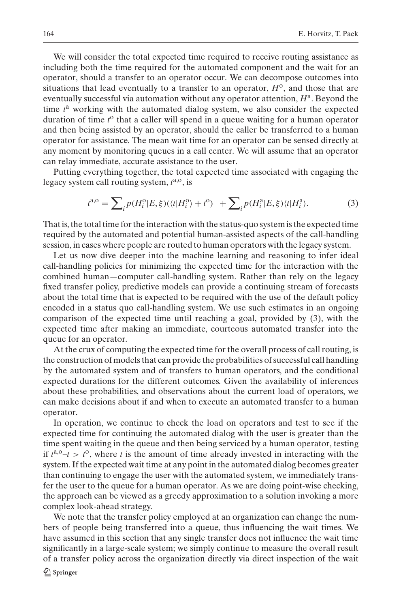We will consider the total expected time required to receive routing assistance as including both the time required for the automated component and the wait for an operator, should a transfer to an operator occur. We can decompose outcomes into situations that lead eventually to a transfer to an operator,  $H<sup>o</sup>$ , and those that are eventually successful via automation without any operator attention,  $H^a$ . Beyond the time  $t^a$  working with the automated dialog system, we also consider the expected duration of time  $t^{\circ}$  that a caller will spend in a queue waiting for a human operator and then being assisted by an operator, should the caller be transferred to a human operator for assistance. The mean wait time for an operator can be sensed directly at any moment by monitoring queues in a call center. We will assume that an operator can relay immediate, accurate assistance to the user.

Putting everything together, the total expected time associated with engaging the legacy system call routing system, *t* a,o, is

$$
t^{a,0} = \sum_{i} p(H_i^0 | E, \xi) (\langle t | H_i^0 \rangle + t^0) + \sum_{i} p(H_i^a | E, \xi) \langle t | H_i^a \rangle.
$$
 (3)

<span id="page-5-0"></span>That is, the total time for the interaction with the status-quo system is the expected time required by the automated and potential human-assisted aspects of the call-handling session, in cases where people are routed to human operators with the legacy system.

Let us now dive deeper into the machine learning and reasoning to infer ideal call-handling policies for minimizing the expected time for the interaction with the combined human—computer call-handling system. Rather than rely on the legacy fixed transfer policy, predictive models can provide a continuing stream of forecasts about the total time that is expected to be required with the use of the default policy encoded in a status quo call-handling system. We use such estimates in an ongoing comparison of the expected time until reaching a goal, provided by [\(3\)](#page-5-0), with the expected time after making an immediate, courteous automated transfer into the queue for an operator.

At the crux of computing the expected time for the overall process of call routing, is the construction of models that can provide the probabilities of successful call handling by the automated system and of transfers to human operators, and the conditional expected durations for the different outcomes. Given the availability of inferences about these probabilities, and observations about the current load of operators, we can make decisions about if and when to execute an automated transfer to a human operator.

In operation, we continue to check the load on operators and test to see if the expected time for continuing the automated dialog with the user is greater than the time spent waiting in the queue and then being serviced by a human operator, testing if  $t^{a,0} - t > t^0$ , where *t* is the amount of time already invested in interacting with the system. If the expected wait time at any point in the automated dialog becomes greater than continuing to engage the user with the automated system, we immediately transfer the user to the queue for a human operator. As we are doing point-wise checking, the approach can be viewed as a greedy approximation to a solution invoking a more complex look-ahead strategy.

We note that the transfer policy employed at an organization can change the numbers of people being transferred into a queue, thus influencing the wait times. We have assumed in this section that any single transfer does not influence the wait time significantly in a large-scale system; we simply continue to measure the overall result of a transfer policy across the organization directly via direct inspection of the wait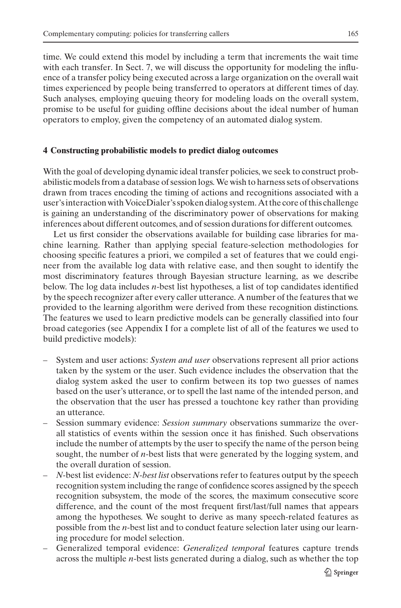time. We could extend this model by including a term that increments the wait time with each transfer. In Sect. [7,](#page-17-0) we will discuss the opportunity for modeling the influence of a transfer policy being executed across a large organization on the overall wait times experienced by people being transferred to operators at different times of day. Such analyses, employing queuing theory for modeling loads on the overall system, promise to be useful for guiding offline decisions about the ideal number of human operators to employ, given the competency of an automated dialog system.

## <span id="page-6-0"></span>**4 Constructing probabilistic models to predict dialog outcomes**

With the goal of developing dynamic ideal transfer policies, we seek to construct probabilistic models from a database of session logs.We wish to harness sets of observations drawn from traces encoding the timing of actions and recognitions associated with a user'sinteraction with VoiceDialer's spoken dialog system.At the core of this challenge is gaining an understanding of the discriminatory power of observations for making inferences about different outcomes, and of session durations for different outcomes.

Let us first consider the observations available for building case libraries for machine learning. Rather than applying special feature-selection methodologies for choosing specific features a priori, we compiled a set of features that we could engineer from the available log data with relative ease, and then sought to identify the most discriminatory features through Bayesian structure learning, as we describe below. The log data includes *n*-best list hypotheses, a list of top candidates identified by the speech recognizer after every caller utterance. A number of the features that we provided to the learning algorithm were derived from these recognition distinctions. The features we used to learn predictive models can be generally classified into four broad categories (see Appendix I for a complete list of all of the features we used to build predictive models):

- System and user actions: *System and user* observations represent all prior actions taken by the system or the user. Such evidence includes the observation that the dialog system asked the user to confirm between its top two guesses of names based on the user's utterance, or to spell the last name of the intended person, and the observation that the user has pressed a touchtone key rather than providing an utterance.
- Session summary evidence: *Session summary* observations summarize the overall statistics of events within the session once it has finished. Such observations include the number of attempts by the user to specify the name of the person being sought, the number of *n*-best lists that were generated by the logging system, and the overall duration of session.
- *N*-best list evidence: *N-best list* observations refer to features output by the speech recognition system including the range of confidence scores assigned by the speech recognition subsystem, the mode of the scores, the maximum consecutive score difference, and the count of the most frequent first/last/full names that appears among the hypotheses. We sought to derive as many speech-related features as possible from the *n*-best list and to conduct feature selection later using our learning procedure for model selection.
- Generalized temporal evidence: *Generalized temporal* features capture trends across the multiple *n*-best lists generated during a dialog, such as whether the top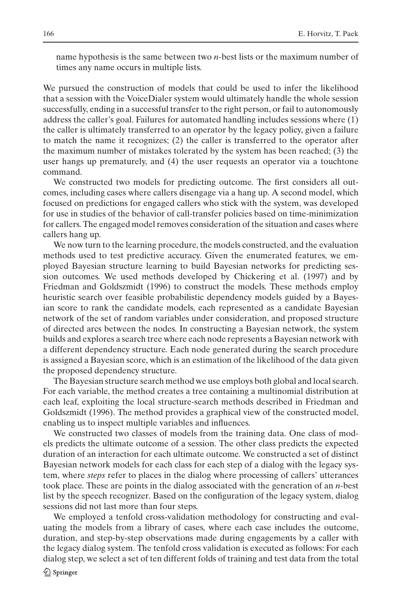name hypothesis is the same between two *n*-best lists or the maximum number of times any name occurs in multiple lists.

We pursued the construction of models that could be used to infer the likelihood that a session with the VoiceDialer system would ultimately handle the whole session successfully, ending in a successful transfer to the right person, or fail to autonomously address the caller's goal. Failures for automated handling includes sessions where (1) the caller is ultimately transferred to an operator by the legacy policy, given a failure to match the name it recognizes; (2) the caller is transferred to the operator after the maximum number of mistakes tolerated by the system has been reached; (3) the user hangs up prematurely, and (4) the user requests an operator via a touchtone command.

We constructed two models for predicting outcome. The first considers all outcomes, including cases where callers disengage via a hang up. A second model, which focused on predictions for engaged callers who stick with the system, was developed for use in studies of the behavior of call-transfer policies based on time-minimization for callers. The engaged model removes consideration of the situation and cases where callers hang up.

We now turn to the learning procedure, the models constructed, and the evaluation methods used to test predictive accuracy. Given the enumerated features, we employed Bayesian structure learning to build Bayesian networks for predicting session outcomes. We used methods developed by Chickering et al. (1997) and by Friedman and Goldszmidt (1996) to construct the models. These methods employ heuristic search over feasible probabilistic dependency models guided by a Bayesian score to rank the candidate models, each represented as a candidate Bayesian network of the set of random variables under consideration, and proposed structure of directed arcs between the nodes. In constructing a Bayesian network, the system builds and explores a search tree where each node represents a Bayesian network with a different dependency structure. Each node generated during the search procedure is assigned a Bayesian score, which is an estimation of the likelihood of the data given the proposed dependency structure.

The Bayesian structure search method we use employs both global and local search. For each variable, the method creates a tree containing a multinomial distribution at each leaf, exploiting the local structure-search methods described in Friedman and Goldszmidt (1996). The method provides a graphical view of the constructed model, enabling us to inspect multiple variables and influences.

We constructed two classes of models from the training data. One class of models predicts the ultimate outcome of a session. The other class predicts the expected duration of an interaction for each ultimate outcome. We constructed a set of distinct Bayesian network models for each class for each step of a dialog with the legacy system, where *steps* refer to places in the dialog where processing of callers' utterances took place. These are points in the dialog associated with the generation of an *n*-best list by the speech recognizer. Based on the configuration of the legacy system, dialog sessions did not last more than four steps.

We employed a tenfold cross-validation methodology for constructing and evaluating the models from a library of cases, where each case includes the outcome, duration, and step-by-step observations made during engagements by a caller with the legacy dialog system. The tenfold cross validation is executed as follows: For each dialog step, we select a set of ten different folds of training and test data from the total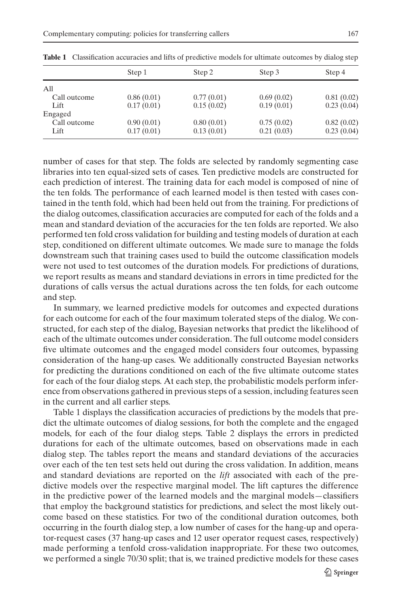|              | Step 1     | Step 2     | Step 3     | Step 4     |
|--------------|------------|------------|------------|------------|
| All          |            |            |            |            |
| Call outcome | 0.86(0.01) | 0.77(0.01) | 0.69(0.02) | 0.81(0.02) |
| Lift         | 0.17(0.01) | 0.15(0.02) | 0.19(0.01) | 0.23(0.04) |
| Engaged      |            |            |            |            |
| Call outcome | 0.90(0.01) | 0.80(0.01) | 0.75(0.02) | 0.82(0.02) |
| Lift         | 0.17(0.01) | 0.13(0.01) | 0.21(0.03) | 0.23(0.04) |

<span id="page-8-0"></span>**Table 1** Classification accuracies and lifts of predictive models for ultimate outcomes by dialog step

number of cases for that step. The folds are selected by randomly segmenting case libraries into ten equal-sized sets of cases. Ten predictive models are constructed for each prediction of interest. The training data for each model is composed of nine of the ten folds. The performance of each learned model is then tested with cases contained in the tenth fold, which had been held out from the training. For predictions of the dialog outcomes, classification accuracies are computed for each of the folds and a mean and standard deviation of the accuracies for the ten folds are reported. We also performed ten fold cross validation for building and testing models of duration at each step, conditioned on different ultimate outcomes. We made sure to manage the folds downstream such that training cases used to build the outcome classification models were not used to test outcomes of the duration models. For predictions of durations, we report results as means and standard deviations in errors in time predicted for the durations of calls versus the actual durations across the ten folds, for each outcome and step.

In summary, we learned predictive models for outcomes and expected durations for each outcome for each of the four maximum tolerated steps of the dialog. We constructed, for each step of the dialog, Bayesian networks that predict the likelihood of each of the ultimate outcomes under consideration. The full outcome model considers five ultimate outcomes and the engaged model considers four outcomes, bypassing consideration of the hang-up cases. We additionally constructed Bayesian networks for predicting the durations conditioned on each of the five ultimate outcome states for each of the four dialog steps. At each step, the probabilistic models perform inference from observations gathered in previous steps of a session, including features seen in the current and all earlier steps.

Table [1](#page-8-0) displays the classification accuracies of predictions by the models that predict the ultimate outcomes of dialog sessions, for both the complete and the engaged models, for each of the four dialog steps. Table [2](#page-9-0) displays the errors in predicted durations for each of the ultimate outcomes, based on observations made in each dialog step. The tables report the means and standard deviations of the accuracies over each of the ten test sets held out during the cross validation. In addition, means and standard deviations are reported on the *lift* associated with each of the predictive models over the respective marginal model. The lift captures the difference in the predictive power of the learned models and the marginal models—classifiers that employ the background statistics for predictions, and select the most likely outcome based on these statistics. For two of the conditional duration outcomes, both occurring in the fourth dialog step, a low number of cases for the hang-up and operator-request cases (37 hang-up cases and 12 user operator request cases, respectively) made performing a tenfold cross-validation inappropriate. For these two outcomes, we performed a single 70/30 split; that is, we trained predictive models for these cases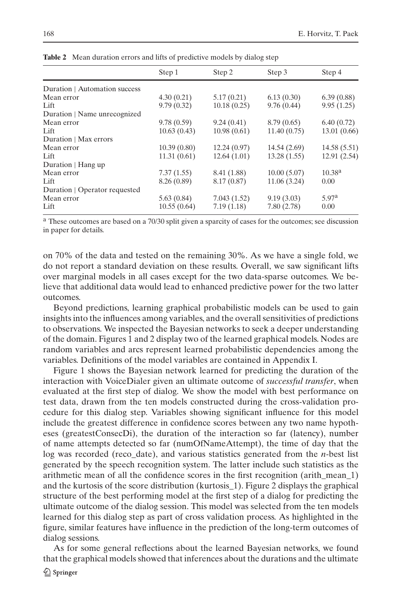<span id="page-9-0"></span>

|                               | Step 1      | Step 2      | Step 3       | Step 4             |
|-------------------------------|-------------|-------------|--------------|--------------------|
| Duration   Automation success |             |             |              |                    |
| Mean error                    | 4.30(0.21)  | 5.17(0.21)  | 6.13(0.30)   | 6.39(0.88)         |
| Lift                          | 9.79(0.32)  | 10.18(0.25) | 9.76(0.44)   | 9.95(1.25)         |
| Duration   Name unrecognized  |             |             |              |                    |
| Mean error                    | 9.78(0.59)  | 9.24(0.41)  | 8.79(0.65)   | 6.40(0.72)         |
| Lift                          | 10.63(0.43) | 10.98(0.61) | 11.40(0.75)  | 13.01(0.66)        |
| Duration   Max errors         |             |             |              |                    |
| Mean error                    | 10.39(0.80) | 12.24(0.97) | 14.54 (2.69) | 14.58(5.51)        |
| Lift                          | 11.31(0.61) | 12.64(1.01) | 13.28(1.55)  | 12.91(2.54)        |
| Duration   Hang up            |             |             |              |                    |
| Mean error                    | 7.37(1.55)  | 8.41 (1.88) | 10.00(5.07)  | 10.38 <sup>a</sup> |
| Lift                          | 8.26(0.89)  | 8.17(0.87)  | 11.06(3.24)  | 0.00               |
| Duration   Operator requested |             |             |              |                    |
| Mean error                    | 5.63(0.84)  | 7.043(1.52) | 9.19(3.03)   | 5.97 <sup>a</sup>  |
| Lift                          | 10.55(0.64) | 7.19(1.18)  | 7.80(2.78)   | 0.00               |

**Table 2** Mean duration errors and lifts of predictive models by dialog step

<sup>a</sup> These outcomes are based on a 70/30 split given a sparcity of cases for the outcomes; see discussion in paper for details.

on 70% of the data and tested on the remaining 30%. As we have a single fold, we do not report a standard deviation on these results. Overall, we saw significant lifts over marginal models in all cases except for the two data-sparse outcomes. We believe that additional data would lead to enhanced predictive power for the two latter outcomes.

Beyond predictions, learning graphical probabilistic models can be used to gain insights into the influences among variables, and the overall sensitivities of predictions to observations. We inspected the Bayesian networks to seek a deeper understanding of the domain. Figures [1](#page-10-0) and [2](#page-10-1) display two of the learned graphical models. Nodes are random variables and arcs represent learned probabilistic dependencies among the variables. Definitions of the model variables are contained in Appendix I.

Figure [1](#page-10-0) shows the Bayesian network learned for predicting the duration of the interaction with VoiceDialer given an ultimate outcome of *successful transfer*, when evaluated at the first step of dialog. We show the model with best performance on test data, drawn from the ten models constructed during the cross-validation procedure for this dialog step. Variables showing significant influence for this model include the greatest difference in confidence scores between any two name hypotheses (greatestConsecDi), the duration of the interaction so far (latency), number of name attempts detected so far (numOfNameAttempt), the time of day that the log was recorded (reco\_date), and various statistics generated from the *n*-best list generated by the speech recognition system. The latter include such statistics as the arithmetic mean of all the confidence scores in the first recognition (arith\_mean\_1) and the kurtosis of the score distribution (kurtosis\_1). Figure [2](#page-10-1) displays the graphical structure of the best performing model at the first step of a dialog for predicting the ultimate outcome of the dialog session. This model was selected from the ten models learned for this dialog step as part of cross validation process. As highlighted in the figure, similar features have influence in the prediction of the long-term outcomes of dialog sessions.

As for some general reflections about the learned Bayesian networks, we found that the graphical models showed that inferences about the durations and the ultimate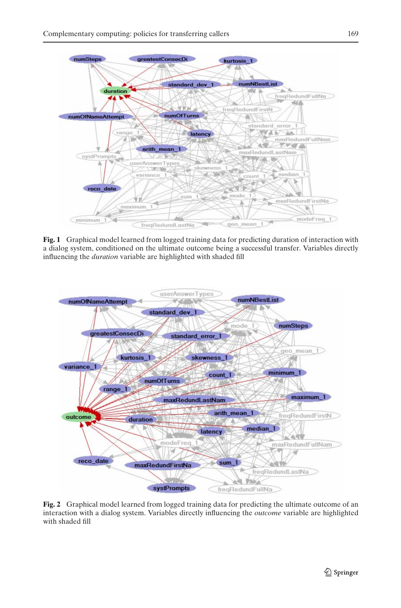

<span id="page-10-0"></span>**Fig. 1** Graphical model learned from logged training data for predicting duration of interaction with a dialog system, conditioned on the ultimate outcome being a successful transfer. Variables directly influencing the *duration* variable are highlighted with shaded fill



<span id="page-10-1"></span>**Fig. 2** Graphical model learned from logged training data for predicting the ultimate outcome of an interaction with a dialog system. Variables directly influencing the *outcome* variable are highlighted with shaded fill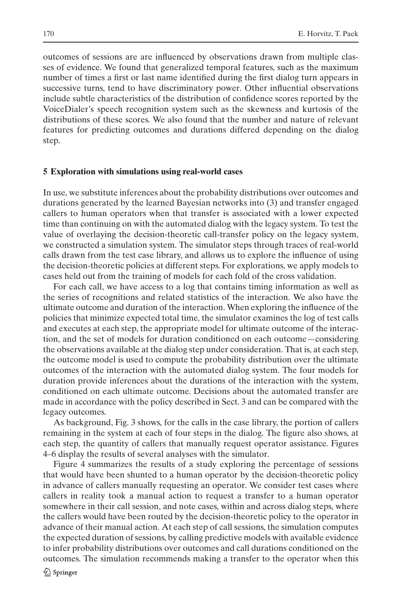outcomes of sessions are are influenced by observations drawn from multiple classes of evidence. We found that generalized temporal features, such as the maximum number of times a first or last name identified during the first dialog turn appears in successive turns, tend to have discriminatory power. Other influential observations include subtle characteristics of the distribution of confidence scores reported by the VoiceDialer's speech recognition system such as the skewness and kurtosis of the distributions of these scores. We also found that the number and nature of relevant features for predicting outcomes and durations differed depending on the dialog step.

#### **5 Exploration with simulations using real-world cases**

In use, we substitute inferences about the probability distributions over outcomes and durations generated by the learned Bayesian networks into [\(3\)](#page-5-0) and transfer engaged callers to human operators when that transfer is associated with a lower expected time than continuing on with the automated dialog with the legacy system. To test the value of overlaying the decision-theoretic call-transfer policy on the legacy system, we constructed a simulation system. The simulator steps through traces of real-world calls drawn from the test case library, and allows us to explore the influence of using the decision-theoretic policies at different steps. For explorations, we apply models to cases held out from the training of models for each fold of the cross validation.

For each call, we have access to a log that contains timing information as well as the series of recognitions and related statistics of the interaction. We also have the ultimate outcome and duration of the interaction. When exploring the influence of the policies that minimize expected total time, the simulator examines the log of test calls and executes at each step, the appropriate model for ultimate outcome of the interaction, and the set of models for duration conditioned on each outcome—considering the observations available at the dialog step under consideration. That is, at each step, the outcome model is used to compute the probability distribution over the ultimate outcomes of the interaction with the automated dialog system. The four models for duration provide inferences about the durations of the interaction with the system, conditioned on each ultimate outcome. Decisions about the automated transfer are made in accordance with the policy described in Sect. [3](#page-3-0) and can be compared with the legacy outcomes.

As background, Fig. [3](#page-12-0) shows, for the calls in the case library, the portion of callers remaining in the system at each of four steps in the dialog. The figure also shows, at each step, the quantity of callers that manually request operator assistance. Figures [4–](#page-12-1)[6](#page-13-0) display the results of several analyses with the simulator.

Figure [4](#page-12-1) summarizes the results of a study exploring the percentage of sessions that would have been shunted to a human operator by the decision-theoretic policy in advance of callers manually requesting an operator. We consider test cases where callers in reality took a manual action to request a transfer to a human operator somewhere in their call session, and note cases, within and across dialog steps, where the callers would have been routed by the decision-theoretic policy to the operator in advance of their manual action. At each step of call sessions, the simulation computes the expected duration of sessions, by calling predictive models with available evidence to infer probability distributions over outcomes and call durations conditioned on the outcomes. The simulation recommends making a transfer to the operator when this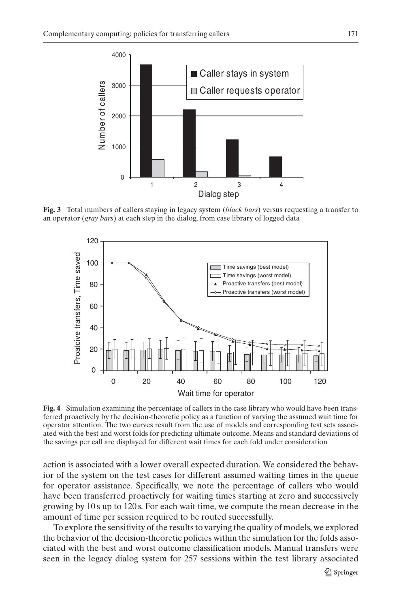

<span id="page-12-0"></span>**Fig. 3** Total numbers of callers staying in legacy system (*black bars*) versus requesting a transfer to an operator (*gray bars*) at each step in the dialog, from case library of logged data



<span id="page-12-1"></span>**Fig. 4** Simulation examining the percentage of callers in the case library who would have been transferred proactively by the decision-theoretic policy as a function of varying the assumed wait time for operator attention. The two curves result from the use of models and corresponding test sets associated with the best and worst folds for predicting ultimate outcome. Means and standard deviations of the savings per call are displayed for different wait times for each fold under consideration

action is associated with a lower overall expected duration. We considered the behavior of the system on the test cases for different assumed waiting times in the queue for operator assistance. Specifically, we note the percentage of callers who would have been transferred proactively for waiting times starting at zero and successively growing by 10 s up to 120 s. For each wait time, we compute the mean decrease in the amount of time per session required to be routed successfully.

To explore the sensitivity of the results to varying the quality of models, we explored the behavior of the decision-theoretic policies within the simulation for the folds associated with the best and worst outcome classification models. Manual transfers were seen in the legacy dialog system for 257 sessions within the test library associated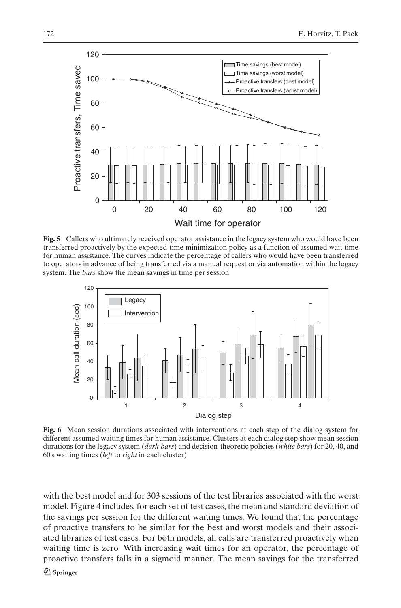

<span id="page-13-1"></span>**Fig. 5** Callers who ultimately received operator assistance in the legacy system who would have been transferred proactively by the expected-time minimization policy as a function of assumed wait time for human assistance. The curves indicate the percentage of callers who would have been transferred to operators in advance of being transferred via a manual request or via automation within the legacy system. The *bars* show the mean savings in time per session



<span id="page-13-0"></span>**Fig. 6** Mean session durations associated with interventions at each step of the dialog system for different assumed waiting times for human assistance. Clusters at each dialog step show mean session durations for the legacy system (*dark bars*) and decision-theoretic policies (*white bars*) for 20, 40, and 60 s waiting times (*left* to *right* in each cluster)

with the best model and for 303 sessions of the test libraries associated with the worst model. Figure [4](#page-12-1) includes, for each set of test cases, the mean and standard deviation of the savings per session for the different waiting times. We found that the percentage of proactive transfers to be similar for the best and worst models and their associated libraries of test cases. For both models, all calls are transferred proactively when waiting time is zero. With increasing wait times for an operator, the percentage of proactive transfers falls in a sigmoid manner. The mean savings for the transferred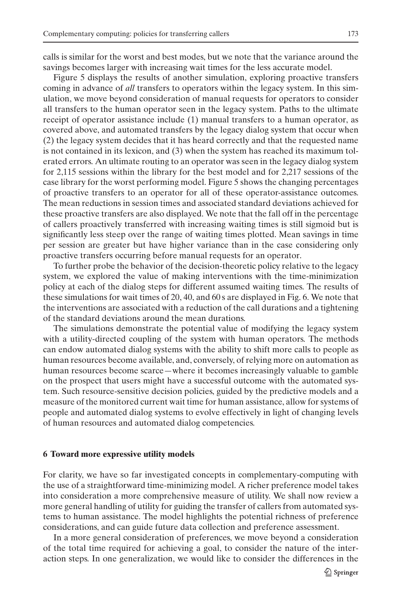calls is similar for the worst and best modes, but we note that the variance around the savings becomes larger with increasing wait times for the less accurate model.

Figure [5](#page-13-1) displays the results of another simulation, exploring proactive transfers coming in advance of *all* transfers to operators within the legacy system. In this simulation, we move beyond consideration of manual requests for operators to consider all transfers to the human operator seen in the legacy system. Paths to the ultimate receipt of operator assistance include [\(1\)](#page-4-0) manual transfers to a human operator, as covered above, and automated transfers by the legacy dialog system that occur when [\(2\)](#page-4-1) the legacy system decides that it has heard correctly and that the requested name is not contained in its lexicon, and [\(3\)](#page-5-0) when the system has reached its maximum tolerated errors. An ultimate routing to an operator was seen in the legacy dialog system for 2,115 sessions within the library for the best model and for 2,217 sessions of the case library for the worst performing model. Figure [5](#page-13-1) shows the changing percentages of proactive transfers to an operator for all of these operator-assistance outcomes. The mean reductions in session times and associated standard deviations achieved for these proactive transfers are also displayed. We note that the fall off in the percentage of callers proactively transferred with increasing waiting times is still sigmoid but is significantly less steep over the range of waiting times plotted. Mean savings in time per session are greater but have higher variance than in the case considering only proactive transfers occurring before manual requests for an operator.

To further probe the behavior of the decision-theoretic policy relative to the legacy system, we explored the value of making interventions with the time-minimization policy at each of the dialog steps for different assumed waiting times. The results of these simulations for wait times of 20, 40, and 60 s are displayed in Fig. [6.](#page-13-0) We note that the interventions are associated with a reduction of the call durations and a tightening of the standard deviations around the mean durations.

The simulations demonstrate the potential value of modifying the legacy system with a utility-directed coupling of the system with human operators. The methods can endow automated dialog systems with the ability to shift more calls to people as human resources become available, and, conversely, of relying more on automation as human resources become scarce—where it becomes increasingly valuable to gamble on the prospect that users might have a successful outcome with the automated system. Such resource-sensitive decision policies, guided by the predictive models and a measure of the monitored current wait time for human assistance, allow for systems of people and automated dialog systems to evolve effectively in light of changing levels of human resources and automated dialog competencies.

#### <span id="page-14-0"></span>**6 Toward more expressive utility models**

For clarity, we have so far investigated concepts in complementary-computing with the use of a straightforward time-minimizing model. A richer preference model takes into consideration a more comprehensive measure of utility. We shall now review a more general handling of utility for guiding the transfer of callers from automated systems to human assistance. The model highlights the potential richness of preference considerations, and can guide future data collection and preference assessment.

In a more general consideration of preferences, we move beyond a consideration of the total time required for achieving a goal, to consider the nature of the interaction steps. In one generalization, we would like to consider the differences in the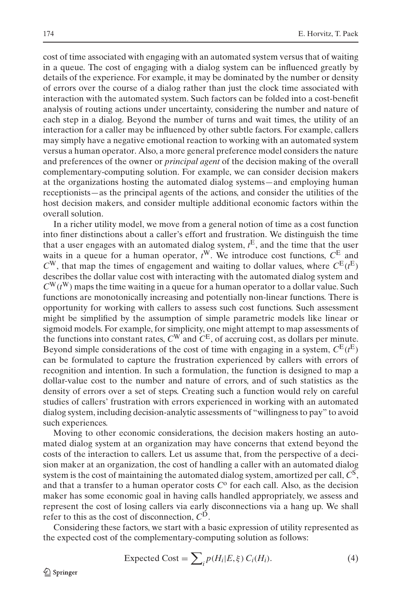cost of time associated with engaging with an automated system versus that of waiting in a queue. The cost of engaging with a dialog system can be influenced greatly by details of the experience. For example, it may be dominated by the number or density of errors over the course of a dialog rather than just the clock time associated with interaction with the automated system. Such factors can be folded into a cost-benefit analysis of routing actions under uncertainty, considering the number and nature of each step in a dialog. Beyond the number of turns and wait times, the utility of an interaction for a caller may be influenced by other subtle factors. For example, callers may simply have a negative emotional reaction to working with an automated system versus a human operator. Also, a more general preference model considers the nature and preferences of the owner or *principal agent* of the decision making of the overall complementary-computing solution. For example, we can consider decision makers at the organizations hosting the automated dialog systems—and employing human receptionists—as the principal agents of the actions, and consider the utilities of the host decision makers, and consider multiple additional economic factors within the overall solution.

In a richer utility model, we move from a general notion of time as a cost function into finer distinctions about a caller's effort and frustration. We distinguish the time that a user engages with an automated dialog system,  $t<sup>E</sup>$ , and the time that the user waits in a queue for a human operator,  $t^W$ . We introduce cost functions,  $C^E$  and  $C^W$ , that map the times of engagement and waiting to dollar values, where  $C^E(t^E)$ describes the dollar value cost with interacting with the automated dialog system and  $C^{W}(t^{W})$  maps the time waiting in a queue for a human operator to a dollar value. Such functions are monotonically increasing and potentially non-linear functions. There is opportunity for working with callers to assess such cost functions. Such assessment might be simplified by the assumption of simple parametric models like linear or sigmoid models. For example, for simplicity, one might attempt to map assessments of the functions into constant rates,  $C^W$  and  $C^E$ , of accruing cost, as dollars per minute. Beyond simple considerations of the cost of time with engaging in a system,  $C^{E}(t^E)$ can be formulated to capture the frustration experienced by callers with errors of recognition and intention. In such a formulation, the function is designed to map a dollar-value cost to the number and nature of errors, and of such statistics as the density of errors over a set of steps. Creating such a function would rely on careful studies of callers' frustration with errors experienced in working with an automated dialog system, including decision-analytic assessments of "willingness to pay" to avoid such experiences.

Moving to other economic considerations, the decision makers hosting an automated dialog system at an organization may have concerns that extend beyond the costs of the interaction to callers. Let us assume that, from the perspective of a decision maker at an organization, the cost of handling a caller with an automated dialog system is the cost of maintaining the automated dialog system, amortized per call,  $C<sup>S</sup>$ , and that a transfer to a human operator costs  $C<sup>o</sup>$  for each call. Also, as the decision maker has some economic goal in having calls handled appropriately, we assess and represent the cost of losing callers via early disconnections via a hang up. We shall refer to this as the cost of disconnection, *C*D.

Considering these factors, we start with a basic expression of utility represented as the expected cost of the complementary-computing solution as follows:

Expected Cost = 
$$
\sum_{i} p(H_i|E,\xi) C_i(H_i).
$$
 (4)

 $\mathcal{Q}$  Springer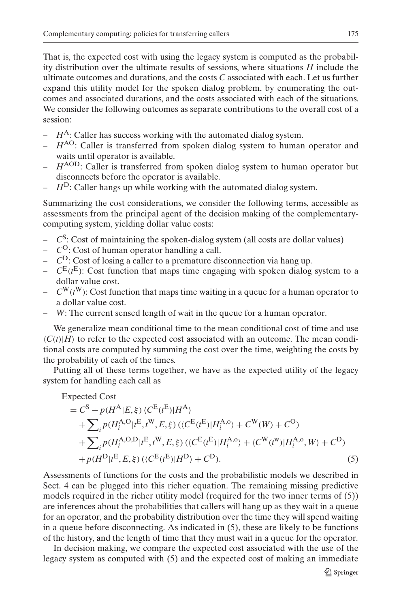That is, the expected cost with using the legacy system is computed as the probability distribution over the ultimate results of sessions, where situations *H* include the ultimate outcomes and durations, and the costs *C* associated with each. Let us further expand this utility model for the spoken dialog problem, by enumerating the outcomes and associated durations, and the costs associated with each of the situations. We consider the following outcomes as separate contributions to the overall cost of a session:

- $H^{\text{A}}$ : Caller has success working with the automated dialog system.
- *H*AO: Caller is transferred from spoken dialog system to human operator and waits until operator is available.
- *H*AOD: Caller is transferred from spoken dialog system to human operator but disconnects before the operator is available.
- $-H<sup>D</sup>$ : Caller hangs up while working with the automated dialog system.

Summarizing the cost considerations, we consider the following terms, accessible as assessments from the principal agent of the decision making of the complementarycomputing system, yielding dollar value costs:

- *C*S: Cost of maintaining the spoken-dialog system (all costs are dollar values)
- $C^{O}$ : Cost of human operator handling a call.
- *C*D: Cost of losing a caller to a premature disconnection via hang up.
- $C^{E}(t^{E})$ : Cost function that maps time engaging with spoken dialog system to a dollar value cost.
- *C*W(*t* <sup>W</sup>): Cost function that maps time waiting in a queue for a human operator to a dollar value cost.
- *W*: The current sensed length of wait in the queue for a human operator.

We generalize mean conditional time to the mean conditional cost of time and use  $\langle C(t)|H\rangle$  to refer to the expected cost associated with an outcome. The mean conditional costs are computed by summing the cost over the time, weighting the costs by the probability of each of the times.

<span id="page-16-0"></span>Putting all of these terms together, we have as the expected utility of the legacy system for handling each call as

Expected Cost

$$
= C^{S} + p(H^{A}|E,\xi) \langle C^{E}(t^{E})|H^{A}\rangle + \sum_{i} p(H_{i}^{A,O}|t^{E},t^{W},E,\xi) \langle \langle C^{E}(t^{E})|H_{i}^{A,O}\rangle + C^{W}(W) + C^{O} \rangle + \sum_{i} p(H_{i}^{A,O,D}|t^{E},t^{W},E,\xi) \langle \langle C^{E}(t^{E})|H_{i}^{A,O}\rangle + \langle C^{W}(t^{W})|H_{i}^{A,O},W\rangle + C^{D} \rangle + p(H^{D}|t^{E},E,\xi) \langle \langle C^{E}(t^{E})|H^{D}\rangle + C^{D} \rangle.
$$
 (5)

Assessments of functions for the costs and the probabilistic models we described in Sect. [4](#page-6-0) can be plugged into this richer equation. The remaining missing predictive models required in the richer utility model (required for the two inner terms of [\(5\)](#page-16-0)) are inferences about the probabilities that callers will hang up as they wait in a queue for an operator, and the probability distribution over the time they will spend waiting in a queue before disconnecting. As indicated in [\(5\)](#page-16-0), these are likely to be functions of the history, and the length of time that they must wait in a queue for the operator.

In decision making, we compare the expected cost associated with the use of the legacy system as computed with [\(5\)](#page-16-0) and the expected cost of making an immediate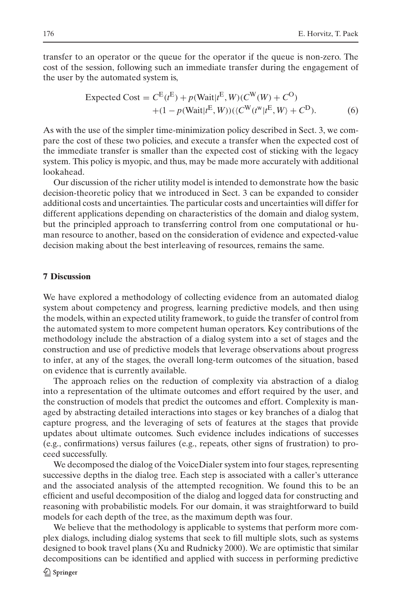transfer to an operator or the queue for the operator if the queue is non-zero. The cost of the session, following such an immediate transfer during the engagement of the user by the automated system is,

Expected Cost = 
$$
C^{E}(t^{E})
$$
 +  $p(\text{Wait}|t^{E}, W)(C^{W}(W) + C^{O})$   
+  $(1 - p(\text{Wait}|t^{E}, W))(\langle C^{W}(t^{W}|t^{E}, W) + C^{O}).$  (6)

As with the use of the simpler time-minimization policy described in Sect. [3,](#page-3-0) we compare the cost of these two policies, and execute a transfer when the expected cost of the immediate transfer is smaller than the expected cost of sticking with the legacy system. This policy is myopic, and thus, may be made more accurately with additional lookahead.

Our discussion of the richer utility model is intended to demonstrate how the basic decision-theoretic policy that we introduced in Sect. [3](#page-3-0) can be expanded to consider additional costs and uncertainties. The particular costs and uncertainties will differ for different applications depending on characteristics of the domain and dialog system, but the principled approach to transferring control from one computational or human resource to another, based on the consideration of evidence and expected-value decision making about the best interleaving of resources, remains the same.

## <span id="page-17-0"></span>**7 Discussion**

We have explored a methodology of collecting evidence from an automated dialog system about competency and progress, learning predictive models, and then using the models, within an expected utility framework, to guide the transfer of control from the automated system to more competent human operators. Key contributions of the methodology include the abstraction of a dialog system into a set of stages and the construction and use of predictive models that leverage observations about progress to infer, at any of the stages, the overall long-term outcomes of the situation, based on evidence that is currently available.

The approach relies on the reduction of complexity via abstraction of a dialog into a representation of the ultimate outcomes and effort required by the user, and the construction of models that predict the outcomes and effort. Complexity is managed by abstracting detailed interactions into stages or key branches of a dialog that capture progress, and the leveraging of sets of features at the stages that provide updates about ultimate outcomes. Such evidence includes indications of successes (e.g., confirmations) versus failures (e.g., repeats, other signs of frustration) to proceed successfully.

We decomposed the dialog of the VoiceDialer system into four stages, representing successive depths in the dialog tree. Each step is associated with a caller's utterance and the associated analysis of the attempted recognition. We found this to be an efficient and useful decomposition of the dialog and logged data for constructing and reasoning with probabilistic models. For our domain, it was straightforward to build models for each depth of the tree, as the maximum depth was four.

We believe that the methodology is applicable to systems that perform more complex dialogs, including dialog systems that seek to fill multiple slots, such as systems designed to book travel plans (Xu and Rudnicky 2000). We are optimistic that similar decompositions can be identified and applied with success in performing predictive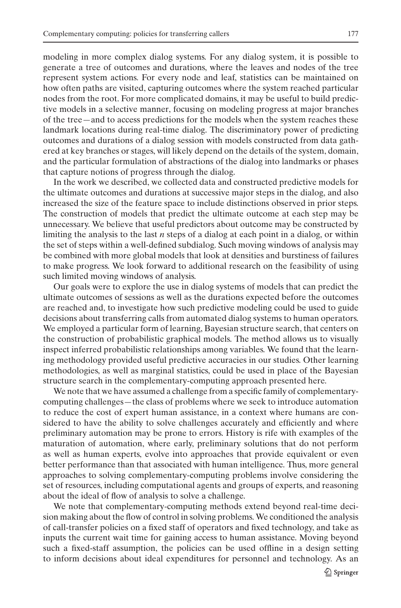modeling in more complex dialog systems. For any dialog system, it is possible to generate a tree of outcomes and durations, where the leaves and nodes of the tree represent system actions. For every node and leaf, statistics can be maintained on how often paths are visited, capturing outcomes where the system reached particular nodes from the root. For more complicated domains, it may be useful to build predictive models in a selective manner, focusing on modeling progress at major branches of the tree—and to access predictions for the models when the system reaches these landmark locations during real-time dialog. The discriminatory power of predicting outcomes and durations of a dialog session with models constructed from data gathered at key branches or stages, will likely depend on the details of the system, domain, and the particular formulation of abstractions of the dialog into landmarks or phases that capture notions of progress through the dialog.

In the work we described, we collected data and constructed predictive models for the ultimate outcomes and durations at successive major steps in the dialog, and also increased the size of the feature space to include distinctions observed in prior steps. The construction of models that predict the ultimate outcome at each step may be unnecessary. We believe that useful predictors about outcome may be constructed by limiting the analysis to the last *n* steps of a dialog at each point in a dialog, or within the set of steps within a well-defined subdialog. Such moving windows of analysis may be combined with more global models that look at densities and burstiness of failures to make progress. We look forward to additional research on the feasibility of using such limited moving windows of analysis.

Our goals were to explore the use in dialog systems of models that can predict the ultimate outcomes of sessions as well as the durations expected before the outcomes are reached and, to investigate how such predictive modeling could be used to guide decisions about transferring calls from automated dialog systems to human operators. We employed a particular form of learning, Bayesian structure search, that centers on the construction of probabilistic graphical models. The method allows us to visually inspect inferred probabilistic relationships among variables. We found that the learning methodology provided useful predictive accuracies in our studies. Other learning methodologies, as well as marginal statistics, could be used in place of the Bayesian structure search in the complementary-computing approach presented here.

We note that we have assumed a challenge from a specific family of complementarycomputing challenges—the class of problems where we seek to introduce automation to reduce the cost of expert human assistance, in a context where humans are considered to have the ability to solve challenges accurately and efficiently and where preliminary automation may be prone to errors. History is rife with examples of the maturation of automation, where early, preliminary solutions that do not perform as well as human experts, evolve into approaches that provide equivalent or even better performance than that associated with human intelligence. Thus, more general approaches to solving complementary-computing problems involve considering the set of resources, including computational agents and groups of experts, and reasoning about the ideal of flow of analysis to solve a challenge.

We note that complementary-computing methods extend beyond real-time decision making about the flow of control in solving problems. We conditioned the analysis of call-transfer policies on a fixed staff of operators and fixed technology, and take as inputs the current wait time for gaining access to human assistance. Moving beyond such a fixed-staff assumption, the policies can be used offline in a design setting to inform decisions about ideal expenditures for personnel and technology. As an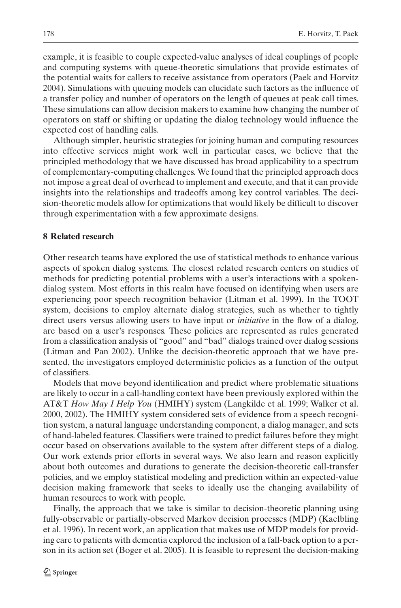example, it is feasible to couple expected-value analyses of ideal couplings of people and computing systems with queue-theoretic simulations that provide estimates of the potential waits for callers to receive assistance from operators (Paek and Horvitz 2004). Simulations with queuing models can elucidate such factors as the influence of a transfer policy and number of operators on the length of queues at peak call times. These simulations can allow decision makers to examine how changing the number of operators on staff or shifting or updating the dialog technology would influence the expected cost of handling calls.

Although simpler, heuristic strategies for joining human and computing resources into effective services might work well in particular cases, we believe that the principled methodology that we have discussed has broad applicability to a spectrum of complementary-computing challenges. We found that the principled approach does not impose a great deal of overhead to implement and execute, and that it can provide insights into the relationships and tradeoffs among key control variables. The decision-theoretic models allow for optimizations that would likely be difficult to discover through experimentation with a few approximate designs.

#### **8 Related research**

Other research teams have explored the use of statistical methods to enhance various aspects of spoken dialog systems. The closest related research centers on studies of methods for predicting potential problems with a user's interactions with a spokendialog system. Most efforts in this realm have focused on identifying when users are experiencing poor speech recognition behavior (Litman et al. 1999). In the TOOT system, decisions to employ alternate dialog strategies, such as whether to tightly direct users versus allowing users to have input or *initiative* in the flow of a dialog, are based on a user's responses. These policies are represented as rules generated from a classification analysis of "good" and "bad" dialogs trained over dialog sessions (Litman and Pan 2002). Unlike the decision-theoretic approach that we have presented, the investigators employed deterministic policies as a function of the output of classifiers.

Models that move beyond identification and predict where problematic situations are likely to occur in a call-handling context have been previously explored within the AT&T *How May I Help You* (HMIHY) system (Langkilde et al. 1999; Walker et al. 2000, 2002). The HMIHY system considered sets of evidence from a speech recognition system, a natural language understanding component, a dialog manager, and sets of hand-labeled features. Classifiers were trained to predict failures before they might occur based on observations available to the system after different steps of a dialog. Our work extends prior efforts in several ways. We also learn and reason explicitly about both outcomes and durations to generate the decision-theoretic call-transfer policies, and we employ statistical modeling and prediction within an expected-value decision making framework that seeks to ideally use the changing availability of human resources to work with people.

Finally, the approach that we take is similar to decision-theoretic planning using fully-observable or partially-observed Markov decision processes (MDP) (Kaelbling et al. 1996). In recent work, an application that makes use of MDP models for providing care to patients with dementia explored the inclusion of a fall-back option to a person in its action set (Boger et al. 2005). It is feasible to represent the decision-making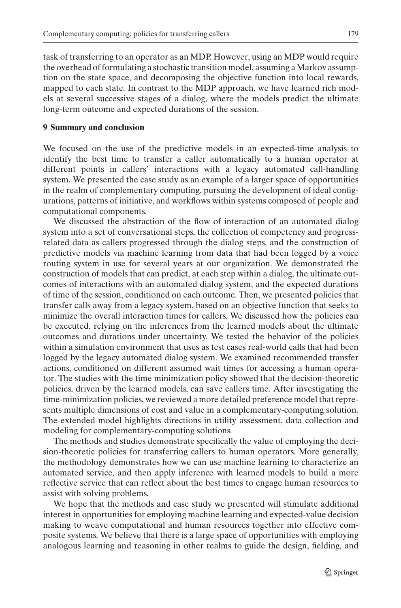task of transferring to an operator as an MDP. However, using an MDP would require the overhead of formulating a stochastic transition model, assuming a Markov assumption on the state space, and decomposing the objective function into local rewards, mapped to each state. In contrast to the MDP approach, we have learned rich models at several successive stages of a dialog, where the models predict the ultimate long-term outcome and expected durations of the session.

#### **9 Summary and conclusion**

We focused on the use of the predictive models in an expected-time analysis to identify the best time to transfer a caller automatically to a human operator at different points in callers' interactions with a legacy automated call-handling system. We presented the case study as an example of a larger space of opportunities in the realm of complementary computing, pursuing the development of ideal configurations, patterns of initiative, and workflows within systems composed of people and computational components.

We discussed the abstraction of the flow of interaction of an automated dialog system into a set of conversational steps, the collection of competency and progressrelated data as callers progressed through the dialog steps, and the construction of predictive models via machine learning from data that had been logged by a voice routing system in use for several years at our organization. We demonstrated the construction of models that can predict, at each step within a dialog, the ultimate outcomes of interactions with an automated dialog system, and the expected durations of time of the session, conditioned on each outcome. Then, we presented policies that transfer calls away from a legacy system, based on an objective function that seeks to minimize the overall interaction times for callers. We discussed how the policies can be executed, relying on the inferences from the learned models about the ultimate outcomes and durations under uncertainty. We tested the behavior of the policies within a simulation environment that uses as test cases real-world calls that had been logged by the legacy automated dialog system. We examined recommended transfer actions, conditioned on different assumed wait times for accessing a human operator. The studies with the time minimization policy showed that the decision-theoretic policies, driven by the learned models, can save callers time. After investigating the time-minimization policies, we reviewed a more detailed preference model that represents multiple dimensions of cost and value in a complementary-computing solution. The extended model highlights directions in utility assessment, data collection and modeling for complementary-computing solutions.

The methods and studies demonstrate specifically the value of employing the decision-theoretic policies for transferring callers to human operators. More generally, the methodology demonstrates how we can use machine learning to characterize an automated service, and then apply inference with learned models to build a more reflective service that can reflect about the best times to engage human resources to assist with solving problems.

We hope that the methods and case study we presented will stimulate additional interest in opportunities for employing machine learning and expected-value decision making to weave computational and human resources together into effective composite systems. We believe that there is a large space of opportunities with employing analogous learning and reasoning in other realms to guide the design, fielding, and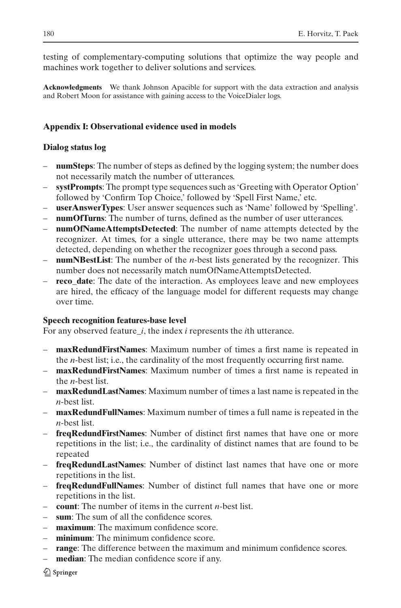testing of complementary-computing solutions that optimize the way people and machines work together to deliver solutions and services.

**Acknowledgments** We thank Johnson Apacible for support with the data extraction and analysis and Robert Moon for assistance with gaining access to the VoiceDialer logs.

# **Appendix I: Observational evidence used in models**

# **Dialog status log**

- **numSteps**: The number of steps as defined by the logging system; the number does not necessarily match the number of utterances.
- **systPrompts**: The prompt type sequences such as 'Greeting with Operator Option' followed by 'Confirm Top Choice,' followed by 'Spell First Name,' etc.
- **userAnswerTypes**: User answer sequences such as 'Name' followed by 'Spelling'.
- **numOfTurns**: The number of turns, defined as the number of user utterances.
- **numOfNameAttemptsDetected**: The number of name attempts detected by the recognizer. At times, for a single utterance, there may be two name attempts detected, depending on whether the recognizer goes through a second pass.
- **numNBestList**: The number of the *n*-best lists generated by the recognizer. This number does not necessarily match numOfNameAttemptsDetected.
- **reco\_date**: The date of the interaction. As employees leave and new employees are hired, the efficacy of the language model for different requests may change over time.

## **Speech recognition features-base level**

For any observed feature\_*i*, the index *i* represents the *i*th utterance.

- **maxRedundFirstNames**: Maximum number of times a first name is repeated in the *n*-best list; i.e., the cardinality of the most frequently occurring first name.
- **maxRedundFirstNames**: Maximum number of times a first name is repeated in the *n*-best list.
- **maxRedundLastNames**: Maximum number of times a last name is repeated in the *n*-best list.
- **maxRedundFullNames**: Maximum number of times a full name is repeated in the *n*-best list.
- **freqRedundFirstNames**: Number of distinct first names that have one or more repetitions in the list; i.e., the cardinality of distinct names that are found to be repeated
- **freqRedundLastNames**: Number of distinct last names that have one or more repetitions in the list.
- **freqRedundFullNames**: Number of distinct full names that have one or more repetitions in the list.
- **count**: The number of items in the current *n*-best list.
- **sum**: The sum of all the confidence scores.
- **maximum**: The maximum confidence score.
- **minimum**: The minimum confidence score.
- **range**: The difference between the maximum and minimum confidence scores.
- **median**: The median confidence score if any.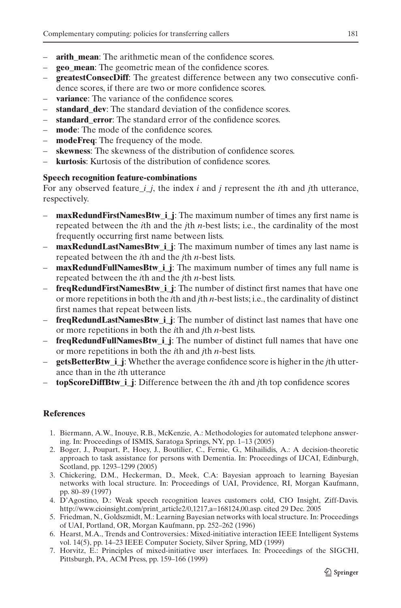- **arith mean**: The arithmetic mean of the confidence scores.
- **geo** mean: The geometric mean of the confidence scores.
- **greatestConsecDiff**: The greatest difference between any two consecutive confidence scores, if there are two or more confidence scores.
- **variance**: The variance of the confidence scores.
- **standard dev**: The standard deviation of the confidence scores.
- **standard\_error**: The standard error of the confidence scores.
- **mode**: The mode of the confidence scores.
- **modeFreq**: The frequency of the mode.
- **skewness**: The skewness of the distribution of confidence scores.
- **kurtosis**: Kurtosis of the distribution of confidence scores.

## **Speech recognition feature-combinations**

For any observed feature\_*i\_j*, the index *i* and *j* represent the *i*th and *j*th utterance, respectively.

- **maxRedundFirstNamesBtw\_i\_j**: The maximum number of times any first name is repeated between the *i*th and the *j*th *n*-best lists; i.e., the cardinality of the most frequently occurring first name between lists.
- **maxRedundLastNamesBtw\_i\_j**: The maximum number of times any last name is repeated between the *i*th and the *j*th *n*-best lists.
- **maxRedundFullNamesBtw\_i\_j**: The maximum number of times any full name is repeated between the *i*th and the *j*th *n*-best lists.
- **freqRedundFirstNamesBtw\_i\_j**: The number of distinct first names that have one or more repetitions in both the *i*th and *j*th *n*-best lists; i.e., the cardinality of distinct first names that repeat between lists.
- **freqRedundLastNamesBtw\_i\_j**: The number of distinct last names that have one or more repetitions in both the *i*th and *j*th *n*-best lists.
- **freqRedundFullNamesBtw\_i\_j**: The number of distinct full names that have one or more repetitions in both the *i*th and *j*th *n*-best lists.
- **getsBetterBtw\_i\_j**: Whether the average confidence score is higher in the *j*th utterance than in the *i*th utterance
- **topScoreDiffBtw\_i\_j**: Difference between the *i*th and *j*th top confidence scores

## **References**

- 1. Biermann, A.W., Inouye, R.B., McKenzie, A.: Methodologies for automated telephone answering. In: Proceedings of ISMIS, Saratoga Springs, NY, pp. 1–13 (2005)
- 2. Boger, J., Poupart, P., Hoey, J., Boutilier, C., Fernie, G., Mihailidis, A.: A decision-theoretic approach to task assistance for persons with Dementia. In: Proceedings of IJCAI, Edinburgh, Scotland, pp. 1293–1299 (2005)
- 3. Chickering, D.M., Heckerman, D., Meek, C.A: Bayesian approach to learning Bayesian networks with local structure. In: Proceedings of UAI, Providence, RI, Morgan Kaufmann, pp. 80–89 (1997)
- 4. D'Agostino, D.: Weak speech recognition leaves customers cold, CIO Insight, Ziff-Davis. http://www.cioinsight.com/print\_article2/0,1217,a=168124,00.asp. cited 29 Dec. 2005
- 5. Friedman, N., Goldszmidt, M.: Learning Bayesian networks with local structure. In: Proceedings of UAI, Portland, OR, Morgan Kaufmann, pp. 252–262 (1996)
- 6. Hearst, M.A., Trends and Controversies.: Mixed-initiative interaction IEEE Intelligent Systems vol. 14(5), pp. 14–23 IEEE Computer Society, Silver Spring, MD (1999)
- 7. Horvitz, E.: Principles of mixed-initiative user interfaces. In: Proceedings of the SIGCHI, Pittsburgh, PA, ACM Press, pp. 159–166 (1999)